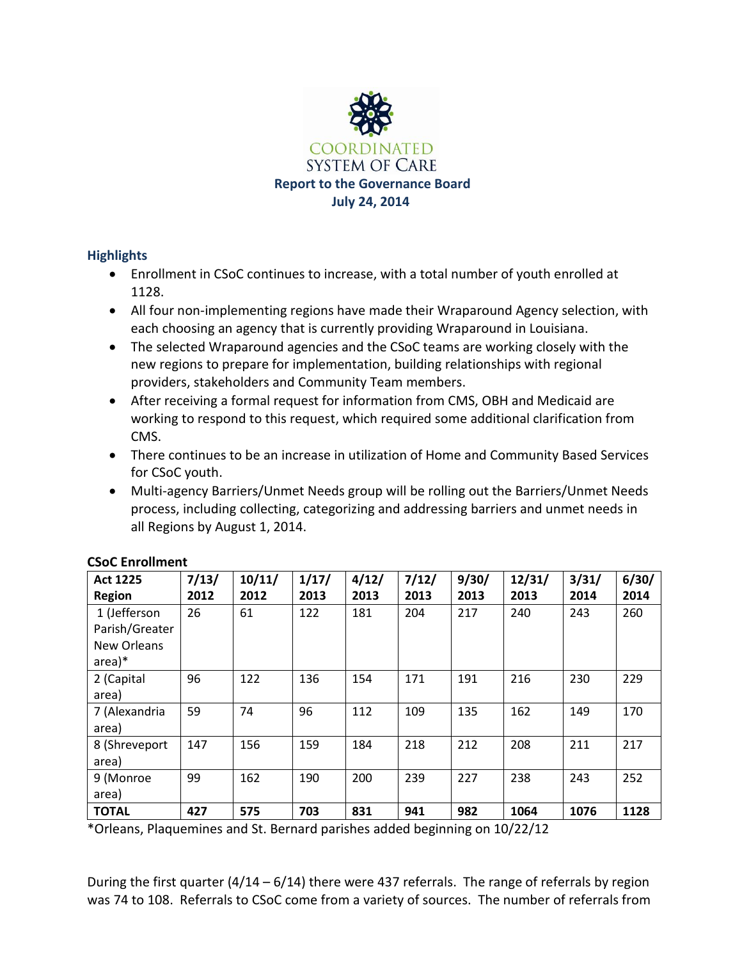

# **Highlights**

- Enrollment in CSoC continues to increase, with a total number of youth enrolled at 1128.
- All four non-implementing regions have made their Wraparound Agency selection, with each choosing an agency that is currently providing Wraparound in Louisiana.
- The selected Wraparound agencies and the CSoC teams are working closely with the new regions to prepare for implementation, building relationships with regional providers, stakeholders and Community Team members.
- After receiving a formal request for information from CMS, OBH and Medicaid are working to respond to this request, which required some additional clarification from CMS.
- There continues to be an increase in utilization of Home and Community Based Services for CSoC youth.
- Multi-agency Barriers/Unmet Needs group will be rolling out the Barriers/Unmet Needs process, including collecting, categorizing and addressing barriers and unmet needs in all Regions by August 1, 2014.

| <b>Act 1225</b> | 7/13/ | 10/11/ | 1/17/ | 4/12/ | 7/12/ | 9/30/ | 12/31/ | 3/31/ | 6/30/ |
|-----------------|-------|--------|-------|-------|-------|-------|--------|-------|-------|
| Region          | 2012  | 2012   | 2013  | 2013  | 2013  | 2013  | 2013   | 2014  | 2014  |
| 1 (Jefferson    | 26    | 61     | 122   | 181   | 204   | 217   | 240    | 243   | 260   |
| Parish/Greater  |       |        |       |       |       |       |        |       |       |
| New Orleans     |       |        |       |       |       |       |        |       |       |
| $area)*$        |       |        |       |       |       |       |        |       |       |
| 2 (Capital      | 96    | 122    | 136   | 154   | 171   | 191   | 216    | 230   | 229   |
| area)           |       |        |       |       |       |       |        |       |       |
| 7 (Alexandria   | 59    | 74     | 96    | 112   | 109   | 135   | 162    | 149   | 170   |
| area)           |       |        |       |       |       |       |        |       |       |
| 8 (Shreveport   | 147   | 156    | 159   | 184   | 218   | 212   | 208    | 211   | 217   |
| area)           |       |        |       |       |       |       |        |       |       |
| 9 (Monroe       | 99    | 162    | 190   | 200   | 239   | 227   | 238    | 243   | 252   |
| area)           |       |        |       |       |       |       |        |       |       |
| <b>TOTAL</b>    | 427   | 575    | 703   | 831   | 941   | 982   | 1064   | 1076  | 1128  |

## **CSoC Enrollment**

\*Orleans, Plaquemines and St. Bernard parishes added beginning on 10/22/12

During the first quarter  $(4/14 - 6/14)$  there were 437 referrals. The range of referrals by region was 74 to 108. Referrals to CSoC come from a variety of sources. The number of referrals from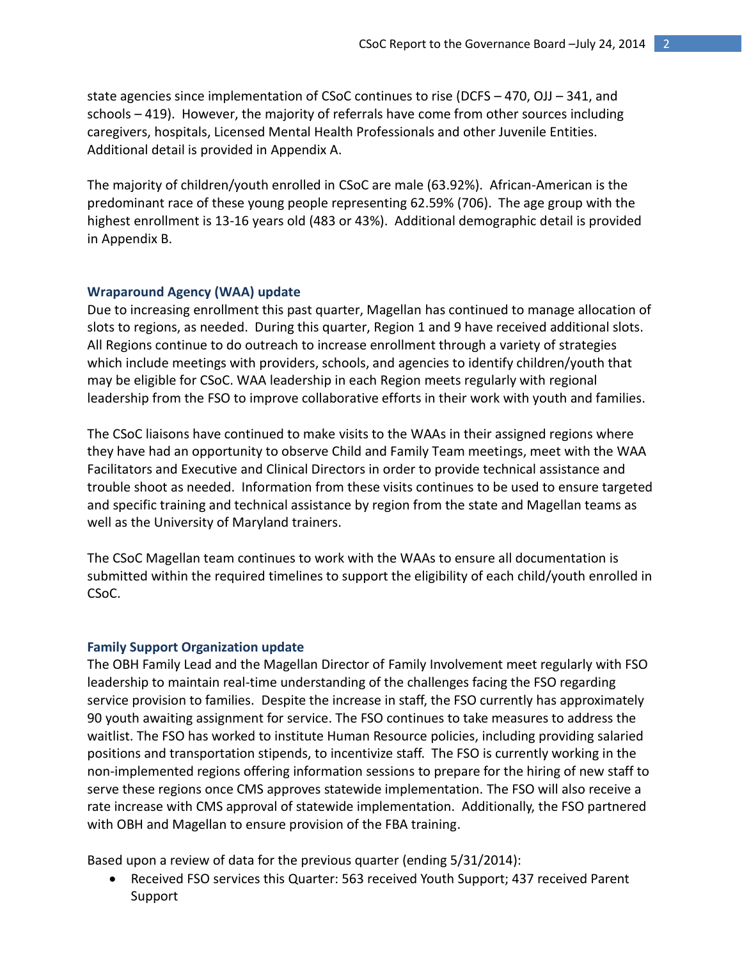state agencies since implementation of CSoC continues to rise (DCFS – 470, OJJ – 341, and schools – 419). However, the majority of referrals have come from other sources including caregivers, hospitals, Licensed Mental Health Professionals and other Juvenile Entities. Additional detail is provided in Appendix A.

The majority of children/youth enrolled in CSoC are male (63.92%). African-American is the predominant race of these young people representing 62.59% (706). The age group with the highest enrollment is 13-16 years old (483 or 43%). Additional demographic detail is provided in Appendix B.

#### **Wraparound Agency (WAA) update**

Due to increasing enrollment this past quarter, Magellan has continued to manage allocation of slots to regions, as needed. During this quarter, Region 1 and 9 have received additional slots. All Regions continue to do outreach to increase enrollment through a variety of strategies which include meetings with providers, schools, and agencies to identify children/youth that may be eligible for CSoC. WAA leadership in each Region meets regularly with regional leadership from the FSO to improve collaborative efforts in their work with youth and families.

The CSoC liaisons have continued to make visits to the WAAs in their assigned regions where they have had an opportunity to observe Child and Family Team meetings, meet with the WAA Facilitators and Executive and Clinical Directors in order to provide technical assistance and trouble shoot as needed. Information from these visits continues to be used to ensure targeted and specific training and technical assistance by region from the state and Magellan teams as well as the University of Maryland trainers.

The CSoC Magellan team continues to work with the WAAs to ensure all documentation is submitted within the required timelines to support the eligibility of each child/youth enrolled in CSoC.

### **Family Support Organization update**

The OBH Family Lead and the Magellan Director of Family Involvement meet regularly with FSO leadership to maintain real-time understanding of the challenges facing the FSO regarding service provision to families. Despite the increase in staff, the FSO currently has approximately 90 youth awaiting assignment for service. The FSO continues to take measures to address the waitlist. The FSO has worked to institute Human Resource policies, including providing salaried positions and transportation stipends, to incentivize staff. The FSO is currently working in the non-implemented regions offering information sessions to prepare for the hiring of new staff to serve these regions once CMS approves statewide implementation. The FSO will also receive a rate increase with CMS approval of statewide implementation. Additionally, the FSO partnered with OBH and Magellan to ensure provision of the FBA training.

Based upon a review of data for the previous quarter (ending 5/31/2014):

• Received FSO services this Quarter: 563 received Youth Support; 437 received Parent Support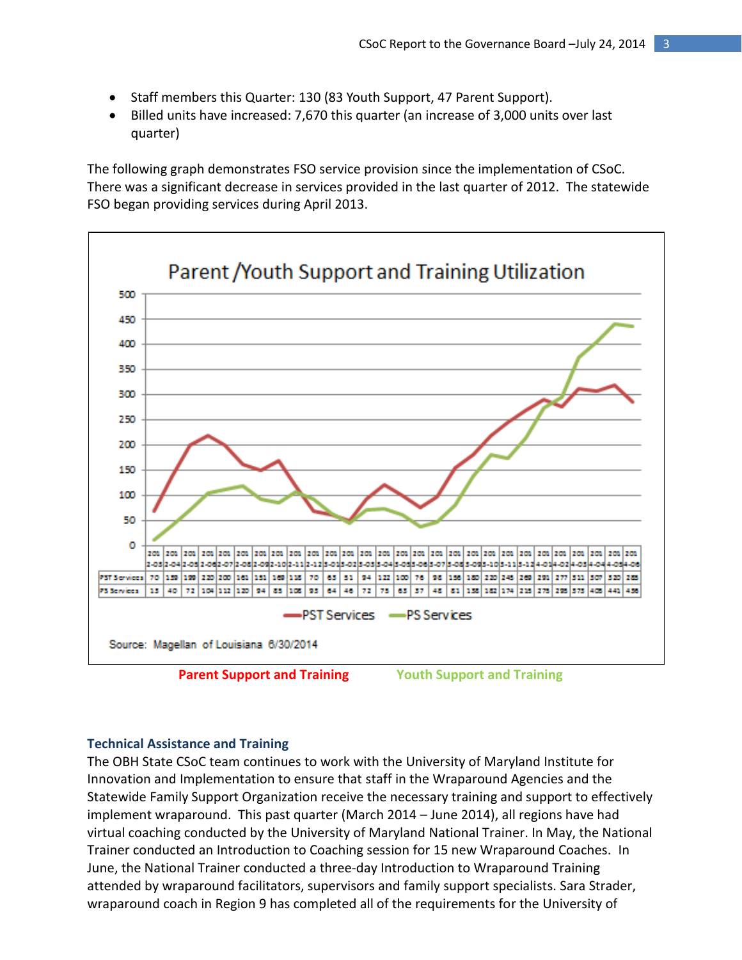- Staff members this Quarter: 130 (83 Youth Support, 47 Parent Support).
- Billed units have increased: 7,670 this quarter (an increase of 3,000 units over last quarter)

The following graph demonstrates FSO service provision since the implementation of CSoC. There was a significant decrease in services provided in the last quarter of 2012. The statewide FSO began providing services during April 2013.



**Parent Support and Training Youth Support and Training**

#### **Technical Assistance and Training**

The OBH State CSoC team continues to work with the University of Maryland Institute for Innovation and Implementation to ensure that staff in the Wraparound Agencies and the Statewide Family Support Organization receive the necessary training and support to effectively implement wraparound. This past quarter (March 2014 – June 2014), all regions have had virtual coaching conducted by the University of Maryland National Trainer. In May, the National Trainer conducted an Introduction to Coaching session for 15 new Wraparound Coaches. In June, the National Trainer conducted a three-day Introduction to Wraparound Training attended by wraparound facilitators, supervisors and family support specialists. Sara Strader, wraparound coach in Region 9 has completed all of the requirements for the University of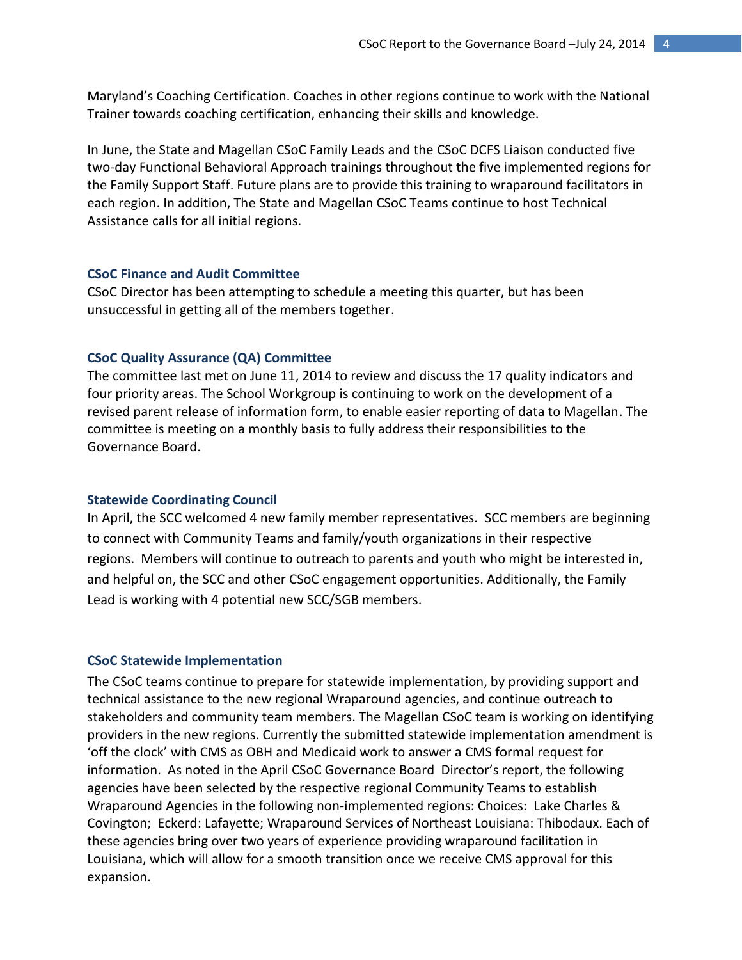Maryland's Coaching Certification. Coaches in other regions continue to work with the National Trainer towards coaching certification, enhancing their skills and knowledge.

In June, the State and Magellan CSoC Family Leads and the CSoC DCFS Liaison conducted five two-day Functional Behavioral Approach trainings throughout the five implemented regions for the Family Support Staff. Future plans are to provide this training to wraparound facilitators in each region. In addition, The State and Magellan CSoC Teams continue to host Technical Assistance calls for all initial regions.

## **CSoC Finance and Audit Committee**

CSoC Director has been attempting to schedule a meeting this quarter, but has been unsuccessful in getting all of the members together.

#### **CSoC Quality Assurance (QA) Committee**

The committee last met on June 11, 2014 to review and discuss the 17 quality indicators and four priority areas. The School Workgroup is continuing to work on the development of a revised parent release of information form, to enable easier reporting of data to Magellan. The committee is meeting on a monthly basis to fully address their responsibilities to the Governance Board.

#### **Statewide Coordinating Council**

In April, the SCC welcomed 4 new family member representatives. SCC members are beginning to connect with Community Teams and family/youth organizations in their respective regions. Members will continue to outreach to parents and youth who might be interested in, and helpful on, the SCC and other CSoC engagement opportunities. Additionally, the Family Lead is working with 4 potential new SCC/SGB members.

#### **CSoC Statewide Implementation**

The CSoC teams continue to prepare for statewide implementation, by providing support and technical assistance to the new regional Wraparound agencies, and continue outreach to stakeholders and community team members. The Magellan CSoC team is working on identifying providers in the new regions. Currently the submitted statewide implementation amendment is 'off the clock' with CMS as OBH and Medicaid work to answer a CMS formal request for information. As noted in the April CSoC Governance Board Director's report, the following agencies have been selected by the respective regional Community Teams to establish Wraparound Agencies in the following non-implemented regions: Choices: Lake Charles & Covington; Eckerd: Lafayette; Wraparound Services of Northeast Louisiana: Thibodaux. Each of these agencies bring over two years of experience providing wraparound facilitation in Louisiana, which will allow for a smooth transition once we receive CMS approval for this expansion.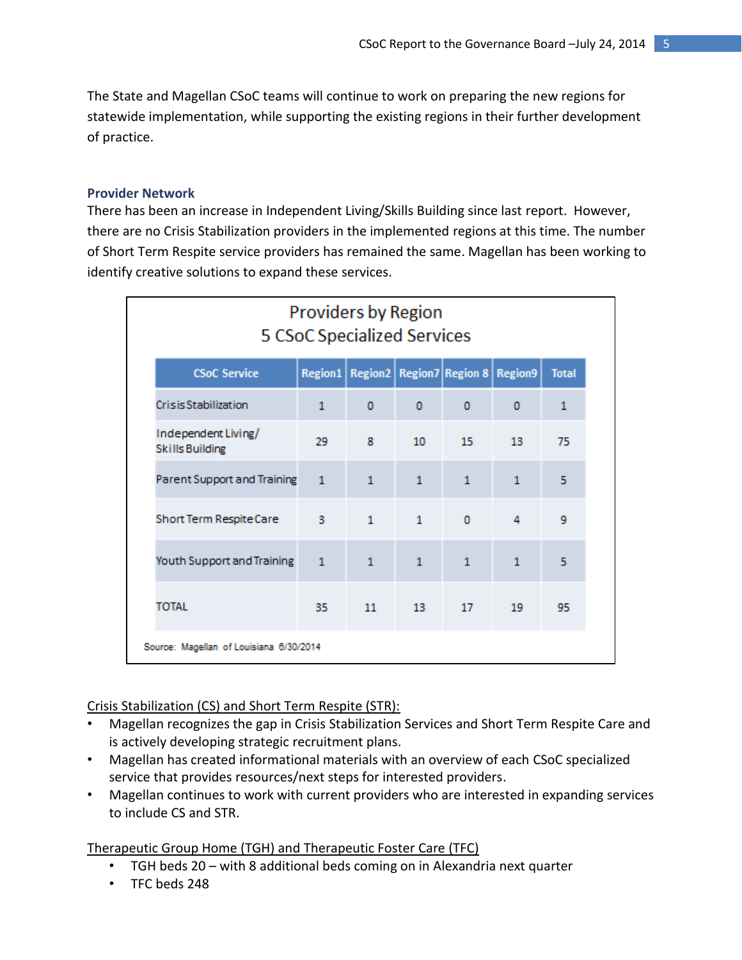The State and Magellan CSoC teams will continue to work on preparing the new regions for statewide implementation, while supporting the existing regions in their further development of practice.

## **Provider Network**

There has been an increase in Independent Living/Skills Building since last report. However, there are no Crisis Stabilization providers in the implemented regions at this time. The number of Short Term Respite service providers has remained the same. Magellan has been working to identify creative solutions to expand these services.

| <b>Providers by Region</b><br>5 CSoC Specialized Services                               |                |              |                  |              |              |              |  |  |
|-----------------------------------------------------------------------------------------|----------------|--------------|------------------|--------------|--------------|--------------|--|--|
| Region1   Region2   Region7   Region 8   Region9<br><b>CSoC Service</b><br><b>Total</b> |                |              |                  |              |              |              |  |  |
| <b>CrisisStabilization</b>                                                              | $\mathbf{1}$   | $\mathbf 0$  | $\mathbf{0}$     | 0            | 0            | $\mathbf{1}$ |  |  |
| Independent Living/<br><b>Skills Building</b>                                           | 29             | 8            | 10 <sup>10</sup> | 15           | 13           | 75           |  |  |
| Parent Support and Training                                                             | $\mathbf{1}$   | $\mathbf{1}$ | $\mathbf{1}$     | $\mathbf{1}$ | $\mathbf{1}$ | 5            |  |  |
| Short Term Respite Care                                                                 | - 3            | $\mathbf{1}$ | $\overline{1}$   | $\Omega$     | 4            | 9            |  |  |
| Youth Support and Training                                                              | $\overline{1}$ | $\mathbf{1}$ | $\mathbf{1}$     | $\mathbf{1}$ | $\mathbf{1}$ | 5            |  |  |
| TOTAL                                                                                   | 35             |              | 11 13            | 17           | 19           | 95           |  |  |
| Source: Magellan of Louisiana 6/30/2014                                                 |                |              |                  |              |              |              |  |  |

## Crisis Stabilization (CS) and Short Term Respite (STR):

- Magellan recognizes the gap in Crisis Stabilization Services and Short Term Respite Care and is actively developing strategic recruitment plans.
- Magellan has created informational materials with an overview of each CSoC specialized service that provides resources/next steps for interested providers.
- Magellan continues to work with current providers who are interested in expanding services to include CS and STR.

Therapeutic Group Home (TGH) and Therapeutic Foster Care (TFC)

- TGH beds 20 with 8 additional beds coming on in Alexandria next quarter
- TFC beds 248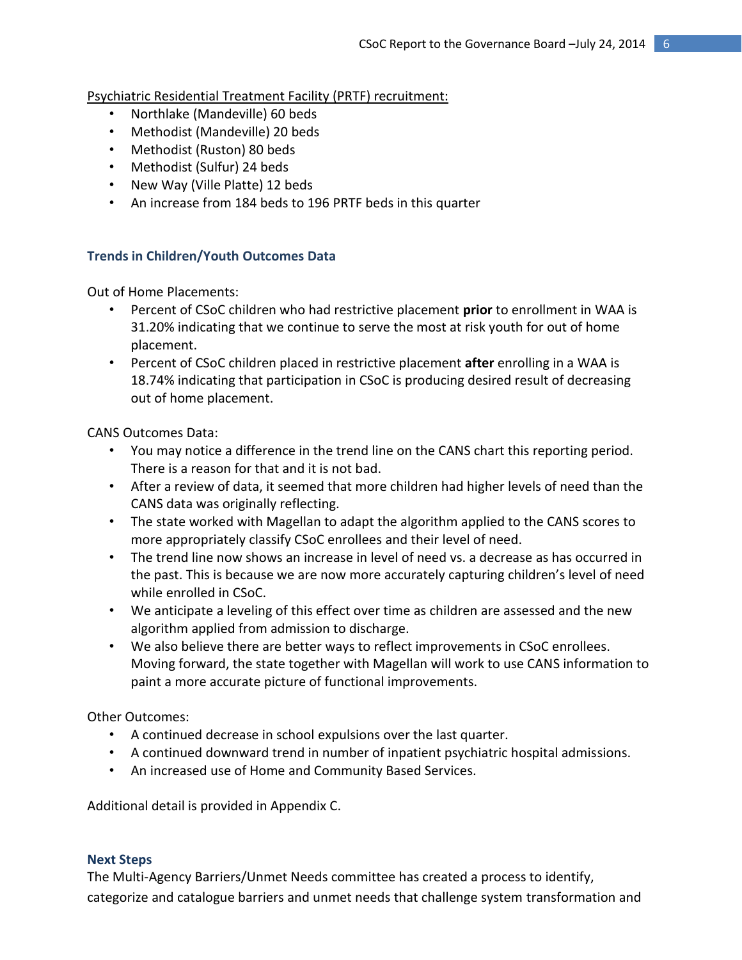Psychiatric Residential Treatment Facility (PRTF) recruitment:

- Northlake (Mandeville) 60 beds
- Methodist (Mandeville) 20 beds
- Methodist (Ruston) 80 beds
- Methodist (Sulfur) 24 beds
- New Way (Ville Platte) 12 beds
- An increase from 184 beds to 196 PRTF beds in this quarter

## **Trends in Children/Youth Outcomes Data**

Out of Home Placements:

- Percent of CSoC children who had restrictive placement **prior** to enrollment in WAA is 31.20% indicating that we continue to serve the most at risk youth for out of home placement.
- Percent of CSoC children placed in restrictive placement **after** enrolling in a WAA is 18.74% indicating that participation in CSoC is producing desired result of decreasing out of home placement.

CANS Outcomes Data:

- You may notice a difference in the trend line on the CANS chart this reporting period. There is a reason for that and it is not bad.
- After a review of data, it seemed that more children had higher levels of need than the CANS data was originally reflecting.
- The state worked with Magellan to adapt the algorithm applied to the CANS scores to more appropriately classify CSoC enrollees and their level of need.
- The trend line now shows an increase in level of need vs. a decrease as has occurred in the past. This is because we are now more accurately capturing children's level of need while enrolled in CSoC.
- We anticipate a leveling of this effect over time as children are assessed and the new algorithm applied from admission to discharge.
- We also believe there are better ways to reflect improvements in CSoC enrollees. Moving forward, the state together with Magellan will work to use CANS information to paint a more accurate picture of functional improvements.

Other Outcomes:

- A continued decrease in school expulsions over the last quarter.
- A continued downward trend in number of inpatient psychiatric hospital admissions.
- An increased use of Home and Community Based Services.

Additional detail is provided in Appendix C.

## **Next Steps**

The Multi-Agency Barriers/Unmet Needs committee has created a process to identify, categorize and catalogue barriers and unmet needs that challenge system transformation and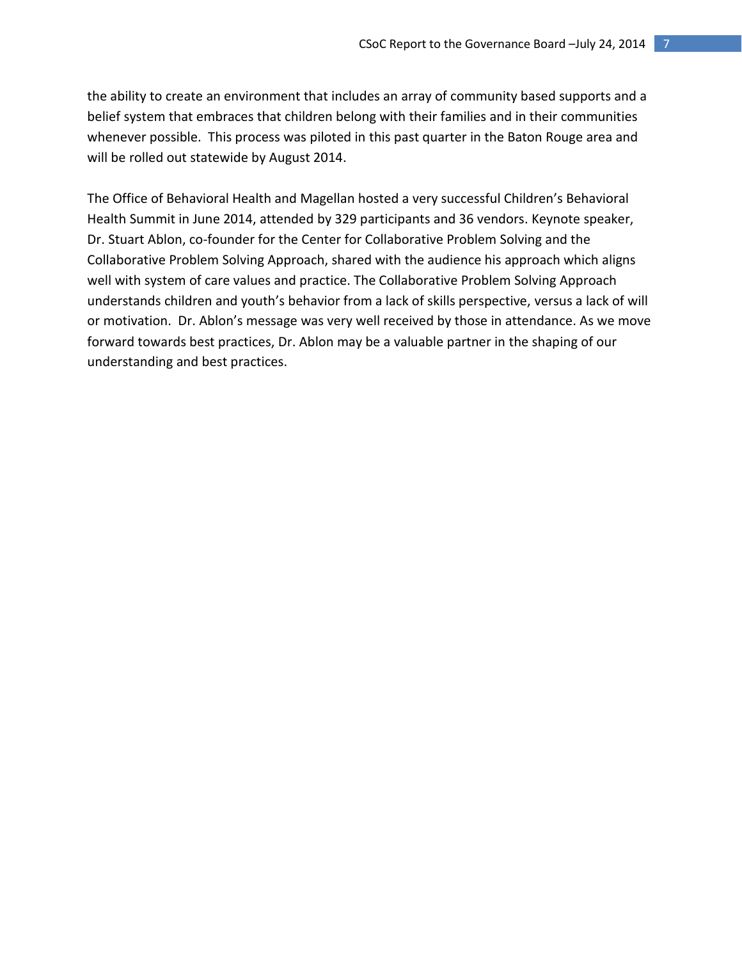the ability to create an environment that includes an array of community based supports and a belief system that embraces that children belong with their families and in their communities whenever possible. This process was piloted in this past quarter in the Baton Rouge area and will be rolled out statewide by August 2014.

The Office of Behavioral Health and Magellan hosted a very successful Children's Behavioral Health Summit in June 2014, attended by 329 participants and 36 vendors. Keynote speaker, Dr. Stuart Ablon, co-founder for the Center for Collaborative Problem Solving and the Collaborative Problem Solving Approach, shared with the audience his approach which aligns well with system of care values and practice. The Collaborative Problem Solving Approach understands children and youth's behavior from a lack of skills perspective, versus a lack of will or motivation. Dr. Ablon's message was very well received by those in attendance. As we move forward towards best practices, Dr. Ablon may be a valuable partner in the shaping of our understanding and best practices.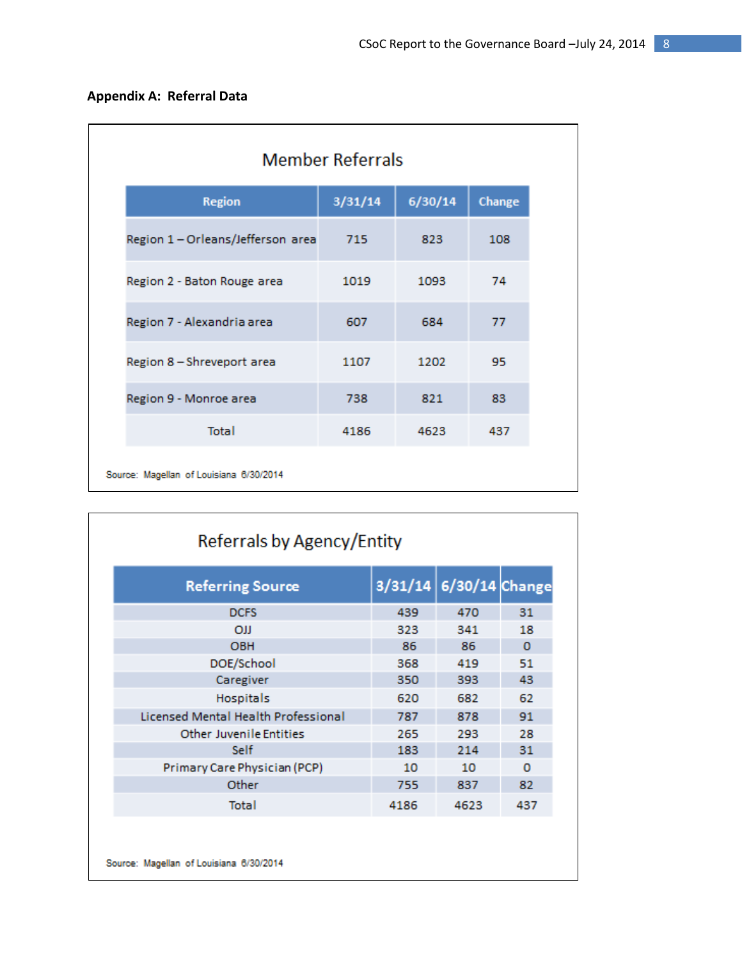| <b>Appendix A: Referral Data</b> |  |  |
|----------------------------------|--|--|
|----------------------------------|--|--|

|         |         | <b>Member Referrals</b> |  |  |  |  |  |  |
|---------|---------|-------------------------|--|--|--|--|--|--|
| 3/31/14 | 6/30/14 | Change                  |  |  |  |  |  |  |
| 715     | 823     | 108                     |  |  |  |  |  |  |
| 1019    | 1093    | 74                      |  |  |  |  |  |  |
| 607     | 684     | 77                      |  |  |  |  |  |  |
| 1107    | 1202    | 95                      |  |  |  |  |  |  |
| 738     | 821     | 83                      |  |  |  |  |  |  |
| 4186    | 4623    | 437                     |  |  |  |  |  |  |
|         |         |                         |  |  |  |  |  |  |

| <b>Referring Source</b>             |      | 3/31/14 6/30/14 Change |          |
|-------------------------------------|------|------------------------|----------|
| <b>DCFS</b>                         | 439  | 470                    | 31       |
| <b>OJJ</b>                          | 323  | 341                    | 18       |
| <b>OBH</b>                          | 86   | 86                     | $\Omega$ |
| DOE/School                          | 368  | 419                    | 51       |
| Caregiver                           | 350  | 393                    | 43       |
| <b>Hospitals</b>                    | 620  | 682                    | 62       |
| Licensed Mental Health Professional | 787  | 878                    | 91       |
| <b>Other Juvenile Entities</b>      | 265  | 293                    | 28       |
| Self                                | 183  | 214                    | 31       |
| Primary Care Physician (PCP)        | 10   | 10                     | o        |
| Other                               | 755  | 837                    | 82       |
| Total                               | 4186 | 4623                   | 437      |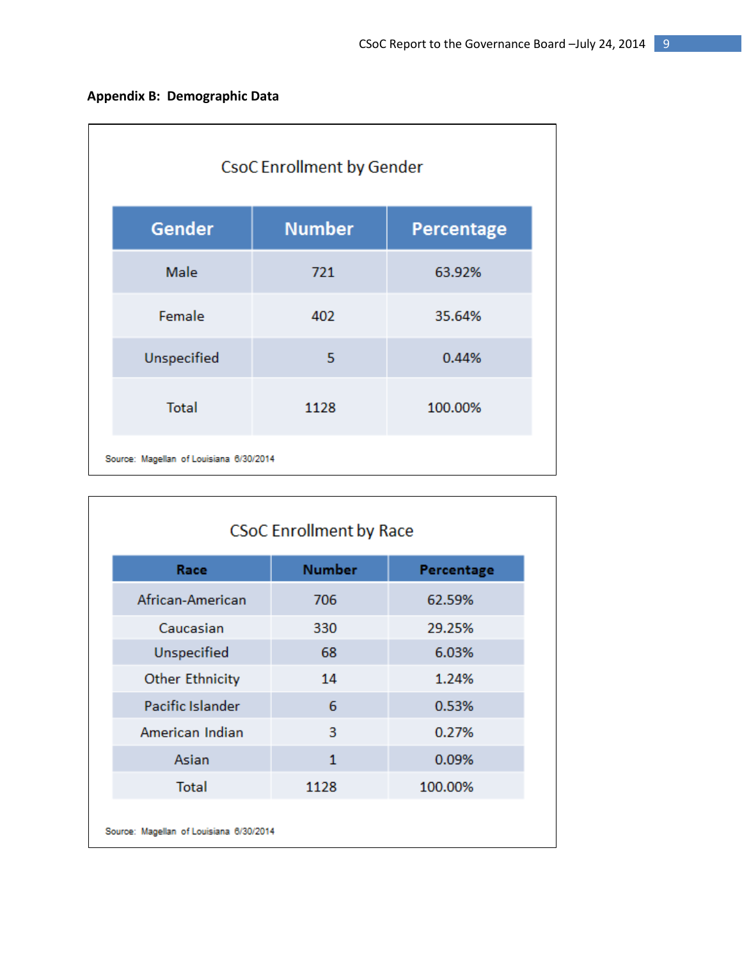| <b>CsoC Enrollment by Gender</b>        |               |                   |  |  |  |  |  |
|-----------------------------------------|---------------|-------------------|--|--|--|--|--|
| Gender                                  | <b>Number</b> | <b>Percentage</b> |  |  |  |  |  |
| Male                                    | 721           | 63.92%            |  |  |  |  |  |
| Female                                  | 402           | 35.64%            |  |  |  |  |  |
| Unspecified                             | 5             | 0.44%             |  |  |  |  |  |
| <b>Total</b>                            | 1128          | 100.00%           |  |  |  |  |  |
| Source: Magellan of Louisiana 6/30/2014 |               |                   |  |  |  |  |  |

| <b>CSoC Enrollment by Race</b>          |               |            |  |  |  |  |
|-----------------------------------------|---------------|------------|--|--|--|--|
| Race                                    | <b>Number</b> | Percentage |  |  |  |  |
| African-American                        | 706           | 62.59%     |  |  |  |  |
| Caucasian                               | 330           | 29.25%     |  |  |  |  |
| Unspecified                             | 68            | 6.03%      |  |  |  |  |
| <b>Other Ethnicity</b>                  | 14            | 1.24%      |  |  |  |  |
| Pacific Islander                        | 6             | 0.53%      |  |  |  |  |
| American Indian                         | 3             | 0.27%      |  |  |  |  |
| Asian                                   | $\mathbf{1}$  | 0.09%      |  |  |  |  |
| <b>Total</b>                            | 1128          | 100.00%    |  |  |  |  |
| Source: Magellan of Louisiana 6/30/2014 |               |            |  |  |  |  |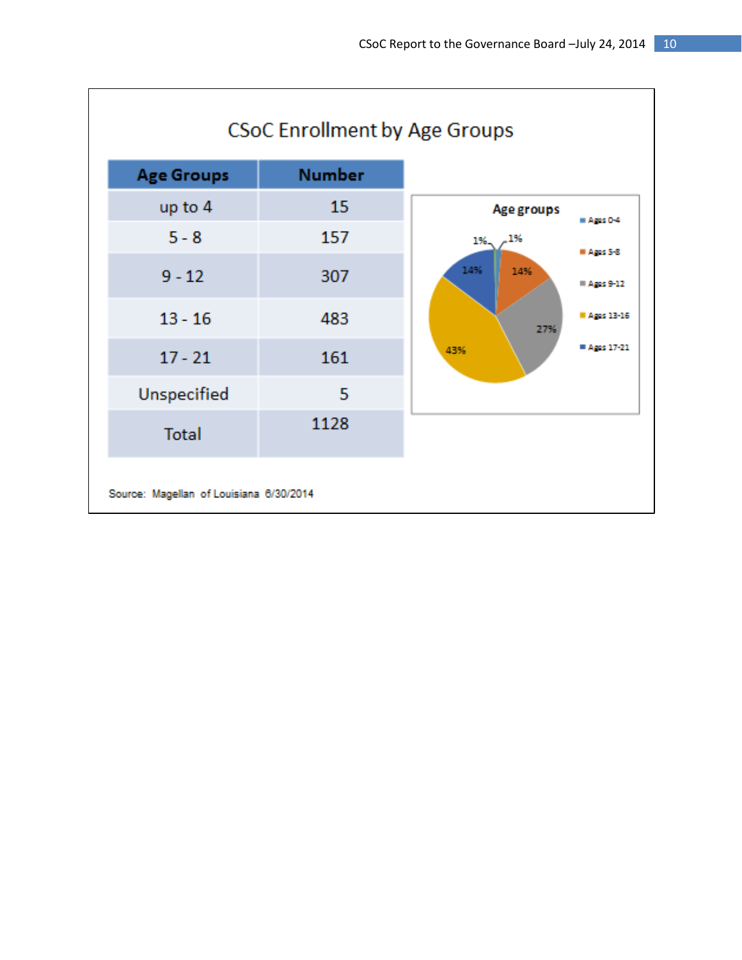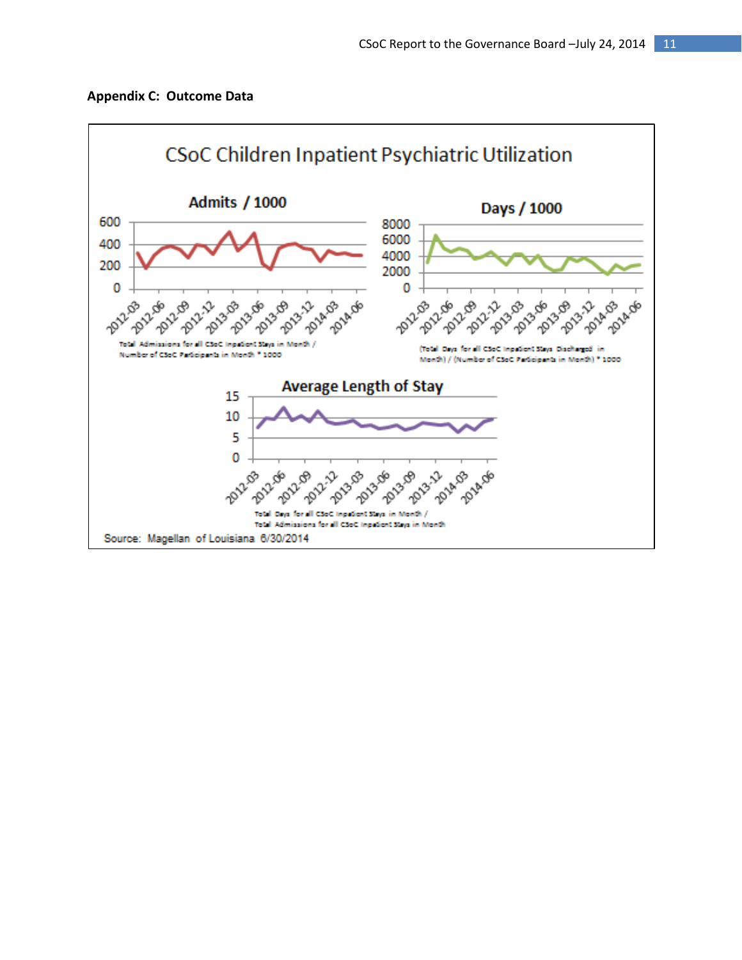

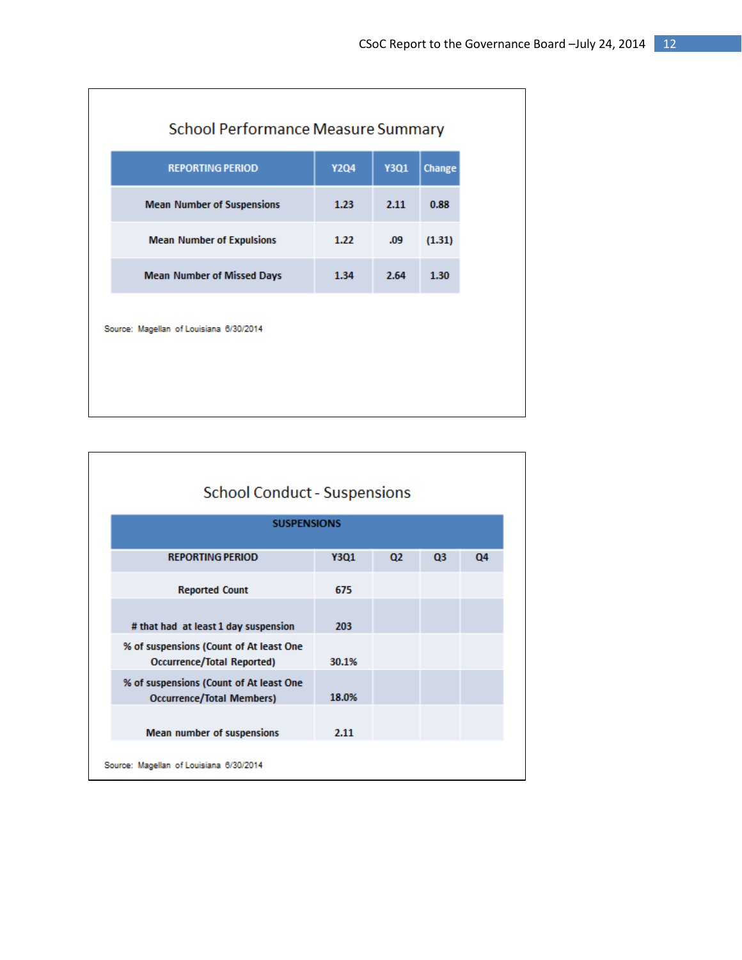| <b>School Performance Measure Summary</b> |             |             |        |  |  |  |
|-------------------------------------------|-------------|-------------|--------|--|--|--|
| <b>REPORTING PERIOD</b>                   | <b>Y2Q4</b> | <b>Y3Q1</b> | Change |  |  |  |
| <b>Mean Number of Suspensions</b>         | 1.23        | 2.11        | 0.88   |  |  |  |
| <b>Mean Number of Expulsions</b>          | 1.22        | .09         | (1.31) |  |  |  |
| <b>Mean Number of Missed Days</b>         | 1.34        | 2.64        | 1.30   |  |  |  |
| Source: Magellan of Louisiana 6/30/2014   |             |             |        |  |  |  |

| <b>School Conduct - Suspensions</b>                                         |             |    |                |    |  |  |
|-----------------------------------------------------------------------------|-------------|----|----------------|----|--|--|
| <b>SUSPENSIONS</b>                                                          |             |    |                |    |  |  |
| <b>REPORTING PERIOD</b>                                                     | <b>Y3Q1</b> | 02 | Q <sub>3</sub> | 04 |  |  |
| <b>Reported Count</b>                                                       | 675         |    |                |    |  |  |
| # that had at least 1 day suspension                                        | 203         |    |                |    |  |  |
| % of suspensions (Count of At least One<br>Occurrence/Total Reported)       | 30.1%       |    |                |    |  |  |
| % of suspensions (Count of At least One<br><b>Occurrence/Total Members)</b> | 18.0%       |    |                |    |  |  |
| Mean number of suspensions                                                  | 2.11        |    |                |    |  |  |
| Source: Magellan of Louisiana 6/30/2014                                     |             |    |                |    |  |  |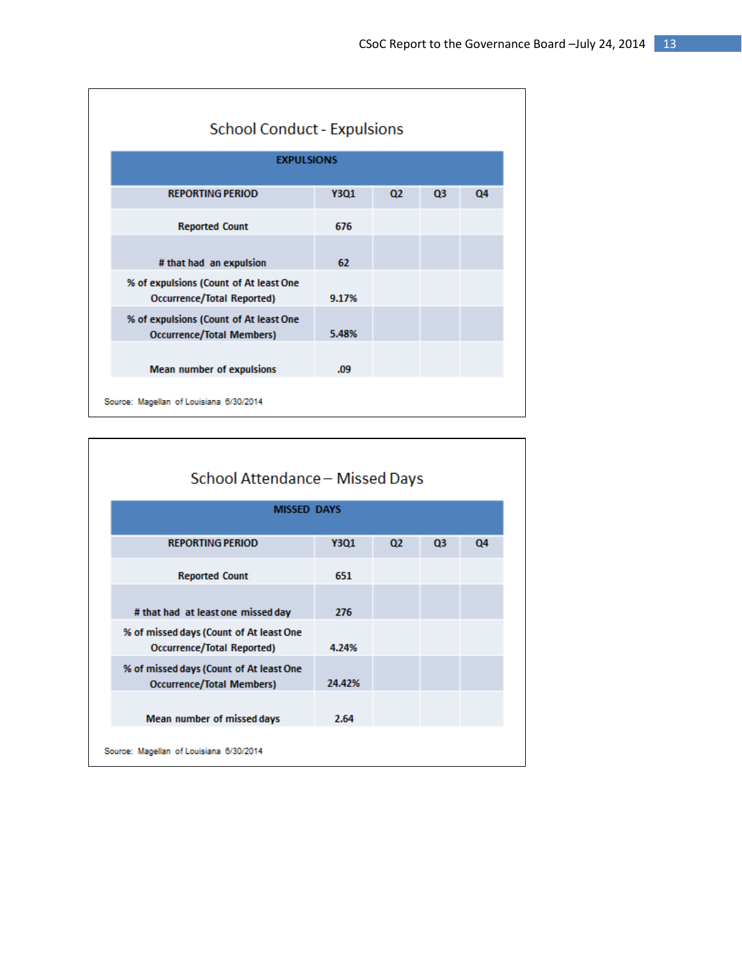| <b>School Conduct - Expulsions</b>                                         |                   |    |                |    |  |  |
|----------------------------------------------------------------------------|-------------------|----|----------------|----|--|--|
|                                                                            | <b>EXPULSIONS</b> |    |                |    |  |  |
| <b>REPORTING PERIOD</b>                                                    | <b>Y3Q1</b>       | 02 | Q <sub>3</sub> | Q4 |  |  |
| <b>Reported Count</b>                                                      | 676               |    |                |    |  |  |
| # that had an expulsion                                                    | 62                |    |                |    |  |  |
| % of expulsions (Count of At least One<br>Occurrence/Total Reported)       | 9.17%             |    |                |    |  |  |
| % of expulsions (Count of At least One<br><b>Occurrence/Total Members)</b> | 5.48%             |    |                |    |  |  |
| Mean number of expulsions                                                  | .09               |    |                |    |  |  |
| Source: Magellan of Louisiana 6/30/2014                                    |                   |    |                |    |  |  |

| School Attendance - Missed Days                                             |             |                |    |    |  |  |  |
|-----------------------------------------------------------------------------|-------------|----------------|----|----|--|--|--|
| <b>MISSED DAYS</b>                                                          |             |                |    |    |  |  |  |
| <b>REPORTING PERIOD</b>                                                     | <b>Y3Q1</b> | Q <sub>2</sub> | Q3 | Q4 |  |  |  |
| <b>Reported Count</b>                                                       | 651         |                |    |    |  |  |  |
| # that had at least one missed day                                          | 276         |                |    |    |  |  |  |
| % of missed days (Count of At least One<br>Occurrence/Total Reported)       | 4.24%       |                |    |    |  |  |  |
| % of missed days (Count of At least One<br><b>Occurrence/Total Members)</b> | 24.42%      |                |    |    |  |  |  |
| Mean number of missed days                                                  | 2.64        |                |    |    |  |  |  |
| Source: Magellan of Louisiana 6/30/2014                                     |             |                |    |    |  |  |  |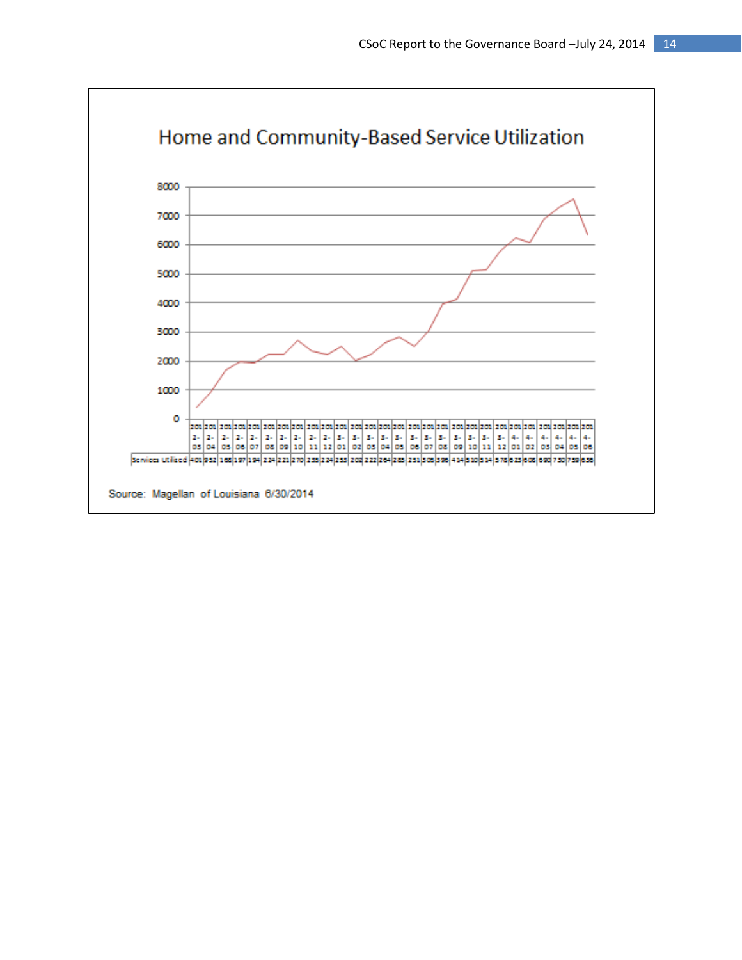